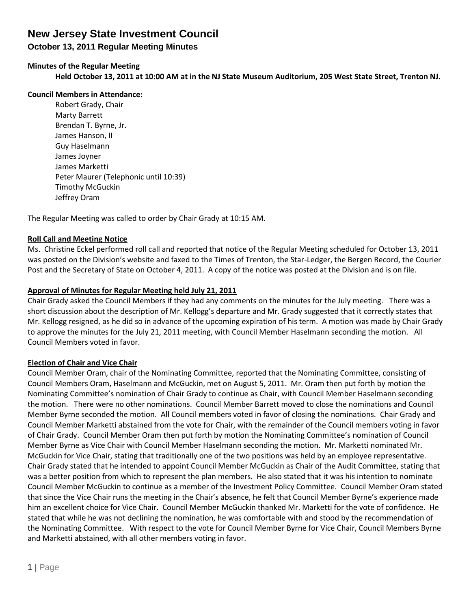## **October 13, 2011 Regular Meeting Minutes**

## **Minutes of the Regular Meeting**

**Held October 13, 2011 at 10:00 AM at in the NJ State Museum Auditorium, 205 West State Street, Trenton NJ.**

### **Council Members in Attendance:**

Robert Grady, Chair Marty Barrett Brendan T. Byrne, Jr. James Hanson, II Guy Haselmann James Joyner James Marketti Peter Maurer (Telephonic until 10:39) Timothy McGuckin Jeffrey Oram

The Regular Meeting was called to order by Chair Grady at 10:15 AM.

## **Roll Call and Meeting Notice**

Ms. Christine Eckel performed roll call and reported that notice of the Regular Meeting scheduled for October 13, 2011 was posted on the Division's website and faxed to the Times of Trenton, the Star-Ledger, the Bergen Record, the Courier Post and the Secretary of State on October 4, 2011. A copy of the notice was posted at the Division and is on file.

## **Approval of Minutes for Regular Meeting held July 21, 2011**

Chair Grady asked the Council Members if they had any comments on the minutes for the July meeting. There was a short discussion about the description of Mr. Kellogg's departure and Mr. Grady suggested that it correctly states that Mr. Kellogg resigned, as he did so in advance of the upcoming expiration of his term. A motion was made by Chair Grady to approve the minutes for the July 21, 2011 meeting, with Council Member Haselmann seconding the motion. All Council Members voted in favor.

## **Election of Chair and Vice Chair**

Council Member Oram, chair of the Nominating Committee, reported that the Nominating Committee, consisting of Council Members Oram, Haselmann and McGuckin, met on August 5, 2011. Mr. Oram then put forth by motion the Nominating Committee's nomination of Chair Grady to continue as Chair, with Council Member Haselmann seconding the motion. There were no other nominations. Council Member Barrett moved to close the nominations and Council Member Byrne seconded the motion. All Council members voted in favor of closing the nominations. Chair Grady and Council Member Marketti abstained from the vote for Chair, with the remainder of the Council members voting in favor of Chair Grady. Council Member Oram then put forth by motion the Nominating Committee's nomination of Council Member Byrne as Vice Chair with Council Member Haselmann seconding the motion. Mr. Marketti nominated Mr. McGuckin for Vice Chair, stating that traditionally one of the two positions was held by an employee representative. Chair Grady stated that he intended to appoint Council Member McGuckin as Chair of the Audit Committee, stating that was a better position from which to represent the plan members. He also stated that it was his intention to nominate Council Member McGuckin to continue as a member of the Investment Policy Committee. Council Member Oram stated that since the Vice Chair runs the meeting in the Chair's absence, he felt that Council Member Byrne's experience made him an excellent choice for Vice Chair. Council Member McGuckin thanked Mr. Marketti for the vote of confidence. He stated that while he was not declining the nomination, he was comfortable with and stood by the recommendation of the Nominating Committee. With respect to the vote for Council Member Byrne for Vice Chair, Council Members Byrne and Marketti abstained, with all other members voting in favor.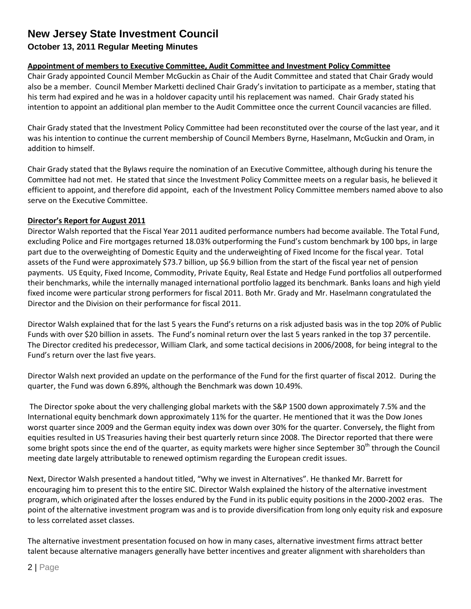## **October 13, 2011 Regular Meeting Minutes**

### **Appointment of members to Executive Committee, Audit Committee and Investment Policy Committee**

Chair Grady appointed Council Member McGuckin as Chair of the Audit Committee and stated that Chair Grady would also be a member. Council Member Marketti declined Chair Grady's invitation to participate as a member, stating that his term had expired and he was in a holdover capacity until his replacement was named. Chair Grady stated his intention to appoint an additional plan member to the Audit Committee once the current Council vacancies are filled.

Chair Grady stated that the Investment Policy Committee had been reconstituted over the course of the last year, and it was his intention to continue the current membership of Council Members Byrne, Haselmann, McGuckin and Oram, in addition to himself.

Chair Grady stated that the Bylaws require the nomination of an Executive Committee, although during his tenure the Committee had not met. He stated that since the Investment Policy Committee meets on a regular basis, he believed it efficient to appoint, and therefore did appoint, each of the Investment Policy Committee members named above to also serve on the Executive Committee.

### **Director's Report for August 2011**

Director Walsh reported that the Fiscal Year 2011 audited performance numbers had become available. The Total Fund, excluding Police and Fire mortgages returned 18.03% outperforming the Fund's custom benchmark by 100 bps, in large part due to the overweighting of Domestic Equity and the underweighting of Fixed Income for the fiscal year. Total assets of the Fund were approximately \$73.7 billion, up \$6.9 billion from the start of the fiscal year net of pension payments. US Equity, Fixed Income, Commodity, Private Equity, Real Estate and Hedge Fund portfolios all outperformed their benchmarks, while the internally managed international portfolio lagged its benchmark. Banks loans and high yield fixed income were particular strong performers for fiscal 2011. Both Mr. Grady and Mr. Haselmann congratulated the Director and the Division on their performance for fiscal 2011.

Director Walsh explained that for the last 5 years the Fund's returns on a risk adjusted basis was in the top 20% of Public Funds with over \$20 billion in assets. The Fund's nominal return over the last 5 years ranked in the top 37 percentile. The Director credited his predecessor, William Clark, and some tactical decisions in 2006/2008, for being integral to the Fund's return over the last five years.

Director Walsh next provided an update on the performance of the Fund for the first quarter of fiscal 2012. During the quarter, the Fund was down 6.89%, although the Benchmark was down 10.49%.

The Director spoke about the very challenging global markets with the S&P 1500 down approximately 7.5% and the International equity benchmark down approximately 11% for the quarter. He mentioned that it was the Dow Jones worst quarter since 2009 and the German equity index was down over 30% for the quarter. Conversely, the flight from equities resulted in US Treasuries having their best quarterly return since 2008. The Director reported that there were some bright spots since the end of the quarter, as equity markets were higher since September 30<sup>th</sup> through the Council meeting date largely attributable to renewed optimism regarding the European credit issues.

Next, Director Walsh presented a handout titled, "Why we invest in Alternatives". He thanked Mr. Barrett for encouraging him to present this to the entire SIC. Director Walsh explained the history of the alternative investment program, which originated after the losses endured by the Fund in its public equity positions in the 2000-2002 eras. The point of the alternative investment program was and is to provide diversification from long only equity risk and exposure to less correlated asset classes.

The alternative investment presentation focused on how in many cases, alternative investment firms attract better talent because alternative managers generally have better incentives and greater alignment with shareholders than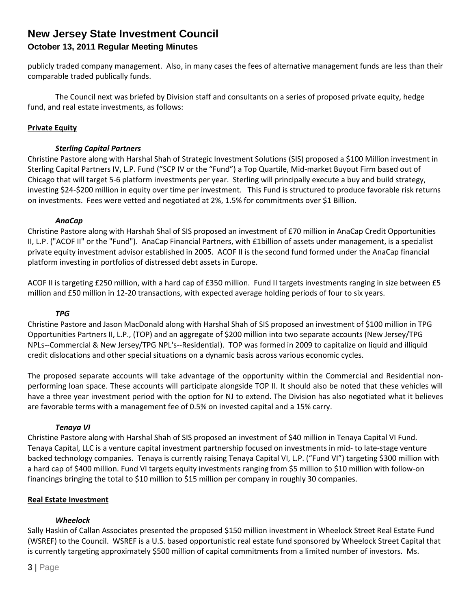## **New Jersey State Investment Council October 13, 2011 Regular Meeting Minutes**

publicly traded company management. Also, in many cases the fees of alternative management funds are less than their comparable traded publically funds.

The Council next was briefed by Division staff and consultants on a series of proposed private equity, hedge fund, and real estate investments, as follows:

### **Private Equity**

### *Sterling Capital Partners*

Christine Pastore along with Harshal Shah of Strategic Investment Solutions (SIS) proposed a \$100 Million investment in Sterling Capital Partners IV, L.P. Fund ("SCP IV or the "Fund") a Top Quartile, Mid-market Buyout Firm based out of Chicago that will target 5-6 platform investments per year. Sterling will principally execute a buy and build strategy, investing \$24-\$200 million in equity over time per investment. This Fund is structured to produce favorable risk returns on investments. Fees were vetted and negotiated at 2%, 1.5% for commitments over \$1 Billion.

### *AnaCap*

Christine Pastore along with Harshah Shal of SIS proposed an investment of £70 million in AnaCap Credit Opportunities II, L.P. ("ACOF II" or the "Fund"). AnaCap Financial Partners, with £1billion of assets under management, is a specialist private equity investment advisor established in 2005. ACOF II is the second fund formed under the AnaCap financial platform investing in portfolios of distressed debt assets in Europe.

ACOF II is targeting £250 million, with a hard cap of £350 million. Fund II targets investments ranging in size between £5 million and £50 million in 12-20 transactions, with expected average holding periods of four to six years.

#### *TPG*

Christine Pastore and Jason MacDonald along with Harshal Shah of SIS proposed an investment of \$100 million in TPG Opportunities Partners II, L.P., (TOP) and an aggregate of \$200 million into two separate accounts (New Jersey/TPG NPLs--Commercial & New Jersey/TPG NPL's--Residential). TOP was formed in 2009 to capitalize on liquid and illiquid credit dislocations and other special situations on a dynamic basis across various economic cycles.

The proposed separate accounts will take advantage of the opportunity within the Commercial and Residential nonperforming loan space. These accounts will participate alongside TOP II. It should also be noted that these vehicles will have a three year investment period with the option for NJ to extend. The Division has also negotiated what it believes are favorable terms with a management fee of 0.5% on invested capital and a 15% carry.

#### *Tenaya VI*

Christine Pastore along with Harshal Shah of SIS proposed an investment of \$40 million in Tenaya Capital VI Fund. Tenaya Capital, LLC is a venture capital investment partnership focused on investments in mid- to late-stage venture backed technology companies. Tenaya is currently raising Tenaya Capital VI, L.P. ("Fund VI") targeting \$300 million with a hard cap of \$400 million. Fund VI targets equity investments ranging from \$5 million to \$10 million with follow-on financings bringing the total to \$10 million to \$15 million per company in roughly 30 companies.

#### **Real Estate Investment**

### *Wheelock*

Sally Haskin of Callan Associates presented the proposed \$150 million investment in Wheelock Street Real Estate Fund (WSREF) to the Council. WSREF is a U.S. based opportunistic real estate fund sponsored by Wheelock Street Capital that is currently targeting approximately \$500 million of capital commitments from a limited number of investors. Ms.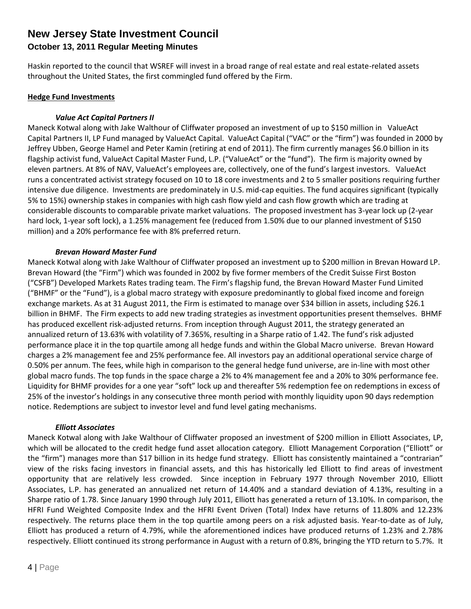## **October 13, 2011 Regular Meeting Minutes**

Haskin reported to the council that WSREF will invest in a broad range of real estate and real estate-related assets throughout the United States, the first commingled fund offered by the Firm.

### **Hedge Fund Investments**

### *Value Act Capital Partners II*

Maneck Kotwal along with Jake Walthour of Cliffwater proposed an investment of up to \$150 million in ValueAct Capital Partners II, LP Fund managed by ValueAct Capital. ValueAct Capital ("VAC" or the "firm") was founded in 2000 by Jeffrey Ubben, George Hamel and Peter Kamin (retiring at end of 2011). The firm currently manages \$6.0 billion in its flagship activist fund, ValueAct Capital Master Fund, L.P. ("ValueAct" or the "fund"). The firm is majority owned by eleven partners. At 8% of NAV, ValueAct's employees are, collectively, one of the fund's largest investors. ValueAct runs a concentrated activist strategy focused on 10 to 18 core investments and 2 to 5 smaller positions requiring further intensive due diligence. Investments are predominately in U.S. mid-cap equities. The fund acquires significant (typically 5% to 15%) ownership stakes in companies with high cash flow yield and cash flow growth which are trading at considerable discounts to comparable private market valuations. The proposed investment has 3-year lock up (2-year hard lock, 1-year soft lock), a 1.25% management fee (reduced from 1.50% due to our planned investment of \$150 million) and a 20% performance fee with 8% preferred return.

### *Brevan Howard Master Fund*

Maneck Kotwal along with Jake Walthour of Cliffwater proposed an investment up to \$200 million in Brevan Howard LP. Brevan Howard (the "Firm") which was founded in 2002 by five former members of the Credit Suisse First Boston ("CSFB") Developed Markets Rates trading team. The Firm's flagship fund, the Brevan Howard Master Fund Limited ("BHMF" or the "Fund"), is a global macro strategy with exposure predominantly to global fixed income and foreign exchange markets. As at 31 August 2011, the Firm is estimated to manage over \$34 billion in assets, including \$26.1 billion in BHMF. The Firm expects to add new trading strategies as investment opportunities present themselves. BHMF has produced excellent risk-adjusted returns. From inception through August 2011, the strategy generated an annualized return of 13.63% with volatility of 7.365%, resulting in a Sharpe ratio of 1.42. The fund's risk adjusted performance place it in the top quartile among all hedge funds and within the Global Macro universe. Brevan Howard charges a 2% management fee and 25% performance fee. All investors pay an additional operational service charge of 0.50% per annum. The fees, while high in comparison to the general hedge fund universe, are in-line with most other global macro funds. The top funds in the space charge a 2% to 4% management fee and a 20% to 30% performance fee. Liquidity for BHMF provides for a one year "soft" lock up and thereafter 5% redemption fee on redemptions in excess of 25% of the investor's holdings in any consecutive three month period with monthly liquidity upon 90 days redemption notice. Redemptions are subject to investor level and fund level gating mechanisms.

### *Elliott Associates*

Maneck Kotwal along with Jake Walthour of Cliffwater proposed an investment of \$200 million in Elliott Associates, LP, which will be allocated to the credit hedge fund asset allocation category. Elliott Management Corporation ("Elliott" or the "firm") manages more than \$17 billion in its hedge fund strategy. Elliott has consistently maintained a "contrarian" view of the risks facing investors in financial assets, and this has historically led Elliott to find areas of investment opportunity that are relatively less crowded. Since inception in February 1977 through November 2010, Elliott Associates, L.P. has generated an annualized net return of 14.40% and a standard deviation of 4.13%, resulting in a Sharpe ratio of 1.78. Since January 1990 through July 2011, Elliott has generated a return of 13.10%. In comparison, the HFRI Fund Weighted Composite Index and the HFRI Event Driven (Total) Index have returns of 11.80% and 12.23% respectively. The returns place them in the top quartile among peers on a risk adjusted basis. Year-to-date as of July, Elliott has produced a return of 4.79%, while the aforementioned indices have produced returns of 1.23% and 2.78% respectively. Elliott continued its strong performance in August with a return of 0.8%, bringing the YTD return to 5.7%. It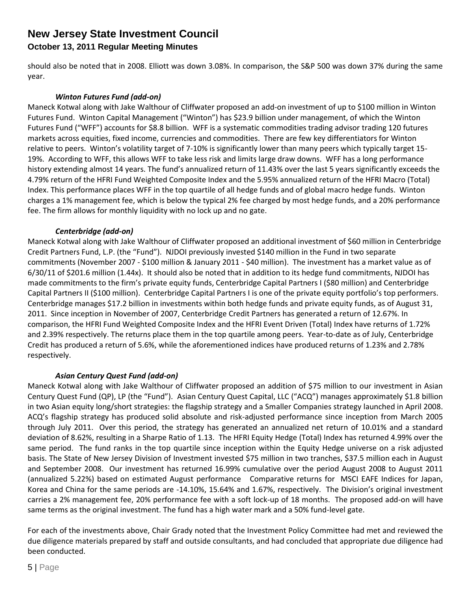## **October 13, 2011 Regular Meeting Minutes**

should also be noted that in 2008. Elliott was down 3.08%. In comparison, the S&P 500 was down 37% during the same year.

### *Winton Futures Fund (add-on)*

Maneck Kotwal along with Jake Walthour of Cliffwater proposed an add-on investment of up to \$100 million in Winton Futures Fund. Winton Capital Management ("Winton") has \$23.9 billion under management, of which the Winton Futures Fund ("WFF") accounts for \$8.8 billion. WFF is a systematic commodities trading advisor trading 120 futures markets across equities, fixed income, currencies and commodities. There are few key differentiators for Winton relative to peers. Winton's volatility target of 7-10% is significantly lower than many peers which typically target 15- 19%. According to WFF, this allows WFF to take less risk and limits large draw downs. WFF has a long performance history extending almost 14 years. The fund's annualized return of 11.43% over the last 5 years significantly exceeds the 4.79% return of the HFRI Fund Weighted Composite Index and the 5.95% annualized return of the HFRI Macro (Total) Index. This performance places WFF in the top quartile of all hedge funds and of global macro hedge funds. Winton charges a 1% management fee, which is below the typical 2% fee charged by most hedge funds, and a 20% performance fee. The firm allows for monthly liquidity with no lock up and no gate.

### *Centerbridge (add-on)*

Maneck Kotwal along with Jake Walthour of Cliffwater proposed an additional investment of \$60 million in Centerbridge Credit Partners Fund, L.P. (the "Fund"). NJDOI previously invested \$140 million in the Fund in two separate commitments (November 2007 - \$100 million & January 2011 - \$40 million). The investment has a market value as of 6/30/11 of \$201.6 million (1.44x). It should also be noted that in addition to its hedge fund commitments, NJDOI has made commitments to the firm's private equity funds, Centerbridge Capital Partners I (\$80 million) and Centerbridge Capital Partners II (\$100 million). Centerbridge Capital Partners I is one of the private equity portfolio's top performers. Centerbridge manages \$17.2 billion in investments within both hedge funds and private equity funds, as of August 31, 2011. Since inception in November of 2007, Centerbridge Credit Partners has generated a return of 12.67%. In comparison, the HFRI Fund Weighted Composite Index and the HFRI Event Driven (Total) Index have returns of 1.72% and 2.39% respectively. The returns place them in the top quartile among peers. Year-to-date as of July, Centerbridge Credit has produced a return of 5.6%, while the aforementioned indices have produced returns of 1.23% and 2.78% respectively.

### *Asian Century Quest Fund (add-on)*

Maneck Kotwal along with Jake Walthour of Cliffwater proposed an addition of \$75 million to our investment in Asian Century Quest Fund (QP), LP (the "Fund"). Asian Century Quest Capital, LLC ("ACQ") manages approximately \$1.8 billion in two Asian equity long/short strategies: the flagship strategy and a Smaller Companies strategy launched in April 2008. ACQ's flagship strategy has produced solid absolute and risk-adjusted performance since inception from March 2005 through July 2011. Over this period, the strategy has generated an annualized net return of 10.01% and a standard deviation of 8.62%, resulting in a Sharpe Ratio of 1.13. The HFRI Equity Hedge (Total) Index has returned 4.99% over the same period. The fund ranks in the top quartile since inception within the Equity Hedge universe on a risk adjusted basis. The State of New Jersey Division of Investment invested \$75 million in two tranches, \$37.5 million each in August and September 2008. Our investment has returned 16.99% cumulative over the period August 2008 to August 2011 (annualized 5.22%) based on estimated August performance Comparative returns for MSCI EAFE Indices for Japan, Korea and China for the same periods are -14.10%, 15.64% and 1.67%, respectively. The Division's original investment carries a 2% management fee, 20% performance fee with a soft lock-up of 18 months. The proposed add-on will have same terms as the original investment. The fund has a high water mark and a 50% fund-level gate.

For each of the investments above, Chair Grady noted that the Investment Policy Committee had met and reviewed the due diligence materials prepared by staff and outside consultants, and had concluded that appropriate due diligence had been conducted.